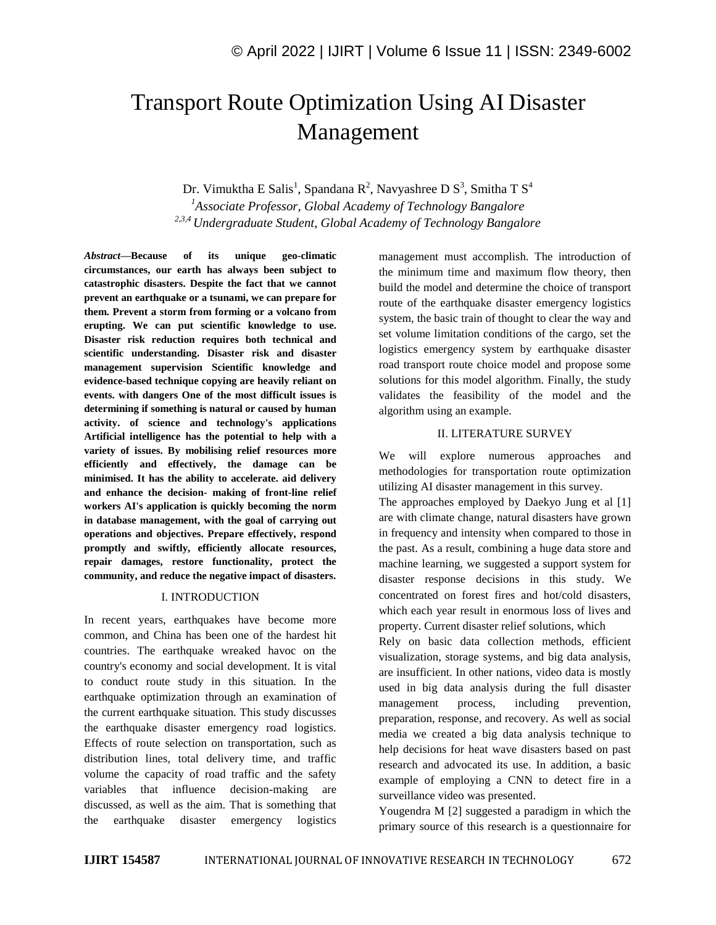# Transport Route Optimization Using AI Disaster Management

Dr. Vimuktha E Salis<sup>1</sup>, Spandana R<sup>2</sup>, Navyashree D S<sup>3</sup>, Smitha T S<sup>4</sup>

*<sup>1</sup>Associate Professor, Global Academy of Technology Bangalore 2,3,4 Undergraduate Student, Global Academy of Technology Bangalore*

*Abstract—***Because of its unique geo-climatic circumstances, our earth has always been subject to catastrophic disasters. Despite the fact that we cannot prevent an earthquake or a tsunami, we can prepare for them. Prevent a storm from forming or a volcano from erupting. We can put scientific knowledge to use. Disaster risk reduction requires both technical and scientific understanding. Disaster risk and disaster management supervision Scientific knowledge and evidence-based technique copying are heavily reliant on events. with dangers One of the most difficult issues is determining if something is natural or caused by human activity. of science and technology's applications Artificial intelligence has the potential to help with a variety of issues. By mobilising relief resources more efficiently and effectively, the damage can be minimised. It has the ability to accelerate. aid delivery and enhance the decision- making of front-line relief workers AI's application is quickly becoming the norm in database management, with the goal of carrying out operations and objectives. Prepare effectively, respond promptly and swiftly, efficiently allocate resources, repair damages, restore functionality, protect the community, and reduce the negative impact of disasters.**

## I. INTRODUCTION

In recent years, earthquakes have become more common, and China has been one of the hardest hit countries. The earthquake wreaked havoc on the country's economy and social development. It is vital to conduct route study in this situation. In the earthquake optimization through an examination of the current earthquake situation. This study discusses the earthquake disaster emergency road logistics. Effects of route selection on transportation, such as distribution lines, total delivery time, and traffic volume the capacity of road traffic and the safety variables that influence decision-making are discussed, as well as the aim. That is something that the earthquake disaster emergency logistics

management must accomplish. The introduction of the minimum time and maximum flow theory, then build the model and determine the choice of transport route of the earthquake disaster emergency logistics system, the basic train of thought to clear the way and set volume limitation conditions of the cargo, set the logistics emergency system by earthquake disaster road transport route choice model and propose some solutions for this model algorithm. Finally, the study validates the feasibility of the model and the algorithm using an example.

### II. LITERATURE SURVEY

We will explore numerous approaches and methodologies for transportation route optimization utilizing AI disaster management in this survey.

The approaches employed by Daekyo Jung et al [1] are with climate change, natural disasters have grown in frequency and intensity when compared to those in the past. As a result, combining a huge data store and machine learning, we suggested a support system for disaster response decisions in this study. We concentrated on forest fires and hot/cold disasters, which each year result in enormous loss of lives and property. Current disaster relief solutions, which

Rely on basic data collection methods, efficient visualization, storage systems, and big data analysis, are insufficient. In other nations, video data is mostly used in big data analysis during the full disaster management process, including prevention, preparation, response, and recovery. As well as social media we created a big data analysis technique to help decisions for heat wave disasters based on past research and advocated its use. In addition, a basic example of employing a CNN to detect fire in a surveillance video was presented.

Yougendra M [2] suggested a paradigm in which the primary source of this research is a questionnaire for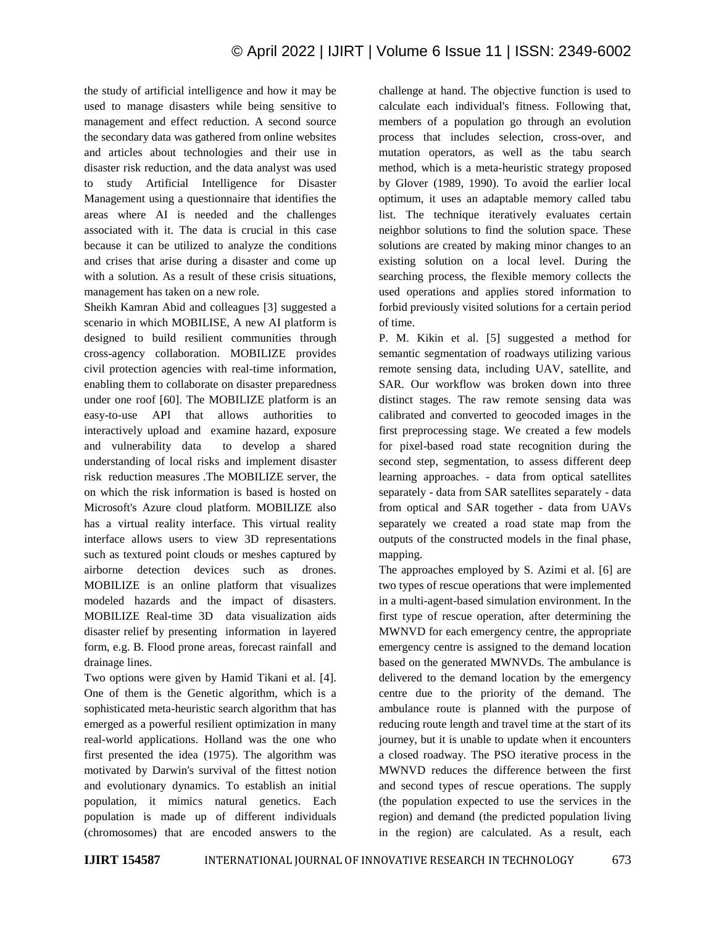the study of artificial intelligence and how it may be used to manage disasters while being sensitive to management and effect reduction. A second source the secondary data was gathered from online websites and articles about technologies and their use in disaster risk reduction, and the data analyst was used to study Artificial Intelligence for Disaster Management using a questionnaire that identifies the areas where AI is needed and the challenges associated with it. The data is crucial in this case because it can be utilized to analyze the conditions and crises that arise during a disaster and come up with a solution. As a result of these crisis situations, management has taken on a new role.

Sheikh Kamran Abid and colleagues [3] suggested a scenario in which MOBILISE, A new AI platform is designed to build resilient communities through cross-agency collaboration. MOBILIZE provides civil protection agencies with real-time information, enabling them to collaborate on disaster preparedness under one roof [60]. The MOBILIZE platform is an easy-to-use API that allows authorities to interactively upload and examine hazard, exposure and vulnerability data to develop a shared understanding of local risks and implement disaster risk reduction measures .The MOBILIZE server, the on which the risk information is based is hosted on Microsoft's Azure cloud platform. MOBILIZE also has a virtual reality interface. This virtual reality interface allows users to view 3D representations such as textured point clouds or meshes captured by airborne detection devices such as drones. MOBILIZE is an online platform that visualizes modeled hazards and the impact of disasters. MOBILIZE Real-time 3D data visualization aids disaster relief by presenting information in layered form, e.g. B. Flood prone areas, forecast rainfall and drainage lines.

Two options were given by Hamid Tikani et al. [4]. One of them is the Genetic algorithm, which is a sophisticated meta-heuristic search algorithm that has emerged as a powerful resilient optimization in many real-world applications. Holland was the one who first presented the idea (1975). The algorithm was motivated by Darwin's survival of the fittest notion and evolutionary dynamics. To establish an initial population, it mimics natural genetics. Each population is made up of different individuals (chromosomes) that are encoded answers to the challenge at hand. The objective function is used to calculate each individual's fitness. Following that, members of a population go through an evolution process that includes selection, cross-over, and mutation operators, as well as the tabu search method, which is a meta-heuristic strategy proposed by Glover (1989, 1990). To avoid the earlier local optimum, it uses an adaptable memory called tabu list. The technique iteratively evaluates certain neighbor solutions to find the solution space. These solutions are created by making minor changes to an existing solution on a local level. During the searching process, the flexible memory collects the used operations and applies stored information to forbid previously visited solutions for a certain period of time.

P. M. Kikin et al. [5] suggested a method for semantic segmentation of roadways utilizing various remote sensing data, including UAV, satellite, and SAR. Our workflow was broken down into three distinct stages. The raw remote sensing data was calibrated and converted to geocoded images in the first preprocessing stage. We created a few models for pixel-based road state recognition during the second step, segmentation, to assess different deep learning approaches. - data from optical satellites separately - data from SAR satellites separately - data from optical and SAR together - data from UAVs separately we created a road state map from the outputs of the constructed models in the final phase, mapping.

The approaches employed by S. Azimi et al. [6] are two types of rescue operations that were implemented in a multi-agent-based simulation environment. In the first type of rescue operation, after determining the MWNVD for each emergency centre, the appropriate emergency centre is assigned to the demand location based on the generated MWNVDs. The ambulance is delivered to the demand location by the emergency centre due to the priority of the demand. The ambulance route is planned with the purpose of reducing route length and travel time at the start of its journey, but it is unable to update when it encounters a closed roadway. The PSO iterative process in the MWNVD reduces the difference between the first and second types of rescue operations. The supply (the population expected to use the services in the region) and demand (the predicted population living in the region) are calculated. As a result, each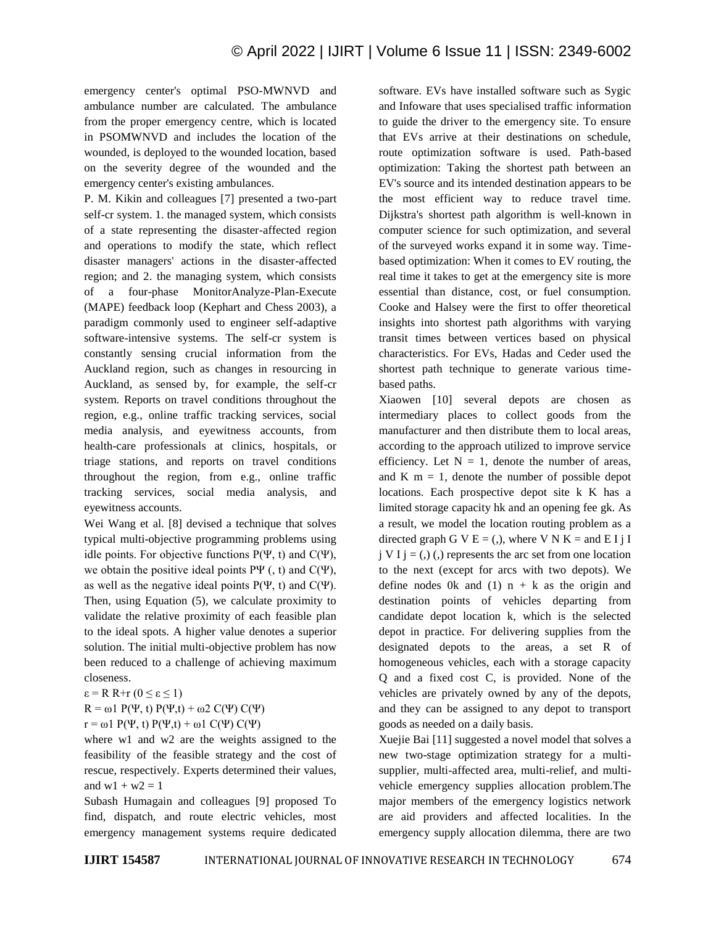emergency center's optimal PSO-MWNVD and ambulance number are calculated. The ambulance from the proper emergency centre, which is located in PSOMWNVD and includes the location of the wounded, is deployed to the wounded location, based on the severity degree of the wounded and the emergency center's existing ambulances.

P. M. Kikin and colleagues [7] presented a two-part self-cr system. 1. the managed system, which consists of a state representing the disaster-affected region and operations to modify the state, which reflect disaster managers' actions in the disaster-affected region; and 2. the managing system, which consists of a four-phase MonitorAnalyze-Plan-Execute (MAPE) feedback loop (Kephart and Chess 2003), a paradigm commonly used to engineer self-adaptive software-intensive systems. The self-cr system is constantly sensing crucial information from the Auckland region, such as changes in resourcing in Auckland, as sensed by, for example, the self-cr system. Reports on travel conditions throughout the region, e.g., online traffic tracking services, social media analysis, and eyewitness accounts, from health-care professionals at clinics, hospitals, or triage stations, and reports on travel conditions throughout the region, from e.g., online traffic tracking services, social media analysis, and eyewitness accounts.

Wei Wang et al. [8] devised a technique that solves typical multi-objective programming problems using idle points. For objective functions  $P(\Psi, t)$  and  $C(\Psi)$ , we obtain the positive ideal points  $P\Psi$  (, t) and  $C(\Psi)$ , as well as the negative ideal points  $P(\Psi, t)$  and  $C(\Psi)$ . Then, using Equation (5), we calculate proximity to validate the relative proximity of each feasible plan to the ideal spots. A higher value denotes a superior solution. The initial multi-objective problem has now been reduced to a challenge of achieving maximum closeness.

 $\epsilon$  = R R+r ( $0 \leq \epsilon \leq 1$ )

 $R = \omega 1 P(\Psi, t) P(\Psi, t) + \omega 2 C(\Psi) C(\Psi)$ 

 $r = \omega 1 P(\Psi, t) P(\Psi, t) + \omega 1 C(\Psi) C(\Psi)$ 

where w1 and w2 are the weights assigned to the feasibility of the feasible strategy and the cost of rescue, respectively. Experts determined their values, and  $w1 + w2 = 1$ 

Subash Humagain and colleagues [9] proposed To find, dispatch, and route electric vehicles, most emergency management systems require dedicated software. EVs have installed software such as Sygic and Infoware that uses specialised traffic information to guide the driver to the emergency site. To ensure that EVs arrive at their destinations on schedule, route optimization software is used. Path-based optimization: Taking the shortest path between an EV's source and its intended destination appears to be the most efficient way to reduce travel time. Dijkstra's shortest path algorithm is well-known in computer science for such optimization, and several of the surveyed works expand it in some way. Timebased optimization: When it comes to EV routing, the real time it takes to get at the emergency site is more essential than distance, cost, or fuel consumption. Cooke and Halsey were the first to offer theoretical insights into shortest path algorithms with varying transit times between vertices based on physical characteristics. For EVs, Hadas and Ceder used the shortest path technique to generate various timebased paths.

Xiaowen [10] several depots are chosen as intermediary places to collect goods from the manufacturer and then distribute them to local areas, according to the approach utilized to improve service efficiency. Let  $N = 1$ , denote the number of areas, and K  $m = 1$ , denote the number of possible depot locations. Each prospective depot site k K has a limited storage capacity hk and an opening fee gk. As a result, we model the location routing problem as a directed graph G V  $E = (0)$ , where V N  $K =$  and E I j I  $j V I j = (0)$ , represents the arc set from one location to the next (except for arcs with two depots). We define nodes 0k and (1)  $n + k$  as the origin and destination points of vehicles departing from candidate depot location k, which is the selected depot in practice. For delivering supplies from the designated depots to the areas, a set R of homogeneous vehicles, each with a storage capacity Q and a fixed cost C, is provided. None of the vehicles are privately owned by any of the depots, and they can be assigned to any depot to transport goods as needed on a daily basis.

Xuejie Bai [11] suggested a novel model that solves a new two-stage optimization strategy for a multisupplier, multi-affected area, multi-relief, and multivehicle emergency supplies allocation problem.The major members of the emergency logistics network are aid providers and affected localities. In the emergency supply allocation dilemma, there are two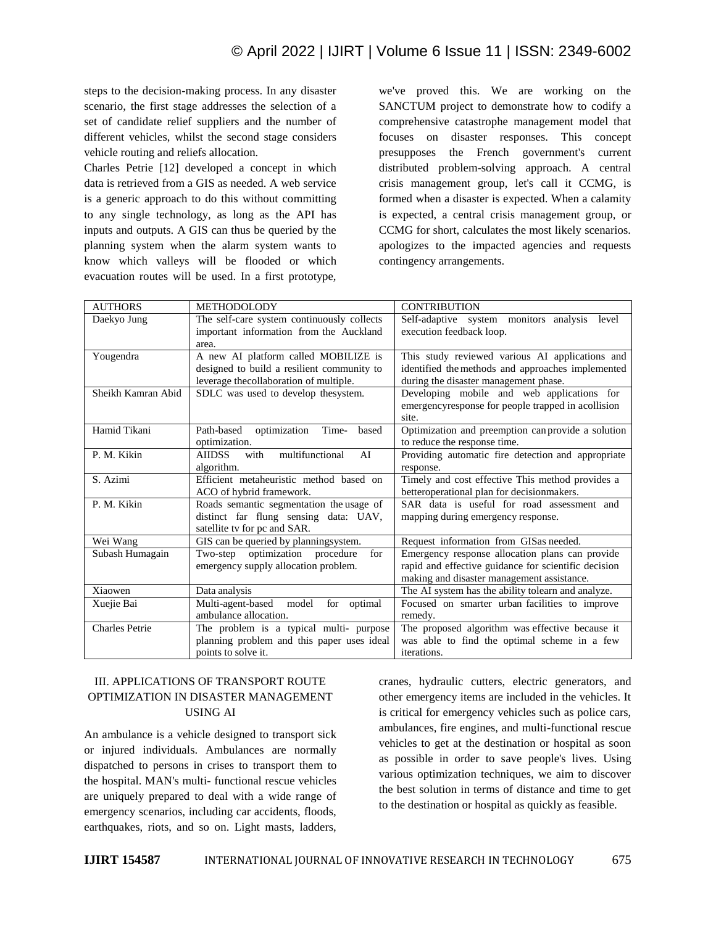steps to the decision-making process. In any disaster scenario, the first stage addresses the selection of a set of candidate relief suppliers and the number of different vehicles, whilst the second stage considers vehicle routing and reliefs allocation.

Charles Petrie [12] developed a concept in which data is retrieved from a GIS as needed. A web service is a generic approach to do this without committing to any single technology, as long as the API has inputs and outputs. A GIS can thus be queried by the planning system when the alarm system wants to know which valleys will be flooded or which evacuation routes will be used. In a first prototype,

we've proved this. We are working on the SANCTUM project to demonstrate how to codify a comprehensive catastrophe management model that focuses on disaster responses. This concept presupposes the French government's current distributed problem-solving approach. A central crisis management group, let's call it CCMG, is formed when a disaster is expected. When a calamity is expected, a central crisis management group, or CCMG for short, calculates the most likely scenarios. apologizes to the impacted agencies and requests contingency arrangements.

| <b>AUTHORS</b>        | <b>METHODOLODY</b>                             | <b>CONTRIBUTION</b>                                  |
|-----------------------|------------------------------------------------|------------------------------------------------------|
| Daekyo Jung           | The self-care system continuously collects     | Self-adaptive system monitors analysis<br>level      |
|                       | important information from the Auckland        | execution feedback loop.                             |
|                       | area.                                          |                                                      |
| Yougendra             | A new AI platform called MOBILIZE is           | This study reviewed various AI applications and      |
|                       | designed to build a resilient community to     | identified the methods and approaches implemented    |
|                       | leverage thecollaboration of multiple.         | during the disaster management phase.                |
| Sheikh Kamran Abid    | SDLC was used to develop the system.           | Developing mobile and web applications for           |
|                       |                                                | emergencyresponse for people trapped in acollision   |
|                       |                                                | site.                                                |
| Hamid Tikani          | Path-based<br>optimization<br>Time-<br>based   | Optimization and preemption can provide a solution   |
|                       | optimization.                                  | to reduce the response time.                         |
| P. M. Kikin           | <b>AIIDSS</b><br>with<br>multifunctional<br>AI | Providing automatic fire detection and appropriate   |
|                       | algorithm.                                     | response.                                            |
| S. Azimi              | Efficient metaheuristic method based on        | Timely and cost effective This method provides a     |
|                       | ACO of hybrid framework.                       | betteroperational plan for decision makers.          |
| P. M. Kikin           | Roads semantic segmentation the usage of       | SAR data is useful for road assessment and           |
|                       | distinct far flung sensing data: UAV,          | mapping during emergency response.                   |
|                       | satellite tv for pc and SAR.                   |                                                      |
| Wei Wang              | GIS can be queried by planningsystem.          | Request information from GISas needed.               |
| Subash Humagain       | Two-step optimization procedure<br>for         | Emergency response allocation plans can provide      |
|                       | emergency supply allocation problem.           | rapid and effective guidance for scientific decision |
|                       |                                                | making and disaster management assistance.           |
| Xiaowen               | Data analysis                                  | The AI system has the ability tolearn and analyze.   |
| Xuejie Bai            | Multi-agent-based<br>model<br>for optimal      | Focused on smarter urban facilities to improve       |
|                       | ambulance allocation.                          | remedy.                                              |
| <b>Charles Petrie</b> | The problem is a typical multi- purpose        | The proposed algorithm was effective because it      |
|                       | planning problem and this paper uses ideal     | was able to find the optimal scheme in a few         |
|                       | points to solve it.                            | iterations.                                          |

## III. APPLICATIONS OF TRANSPORT ROUTE OPTIMIZATION IN DISASTER MANAGEMENT USING AI

An ambulance is a vehicle designed to transport sick or injured individuals. Ambulances are normally dispatched to persons in crises to transport them to the hospital. MAN's multi- functional rescue vehicles are uniquely prepared to deal with a wide range of emergency scenarios, including car accidents, floods, earthquakes, riots, and so on. Light masts, ladders,

cranes, hydraulic cutters, electric generators, and other emergency items are included in the vehicles. It is critical for emergency vehicles such as police cars, ambulances, fire engines, and multi-functional rescue vehicles to get at the destination or hospital as soon as possible in order to save people's lives. Using various optimization techniques, we aim to discover the best solution in terms of distance and time to get to the destination or hospital as quickly as feasible.